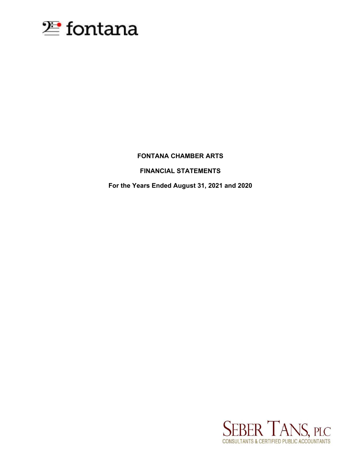

# **FONTANA CHAMBER ARTS**

# **FINANCIAL STATEMENTS**

**For the Years Ended August 31, 2021 and 2020**

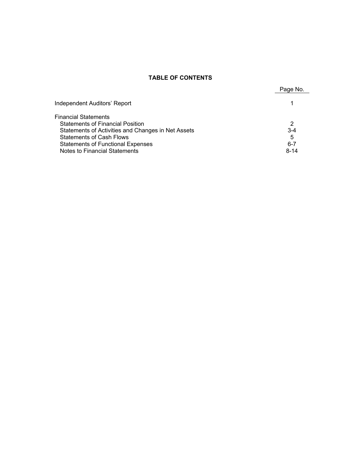# **TABLE OF CONTENTS**

|                                                    | Page No. |
|----------------------------------------------------|----------|
| Independent Auditors' Report                       |          |
| <b>Financial Statements</b>                        |          |
| <b>Statements of Financial Position</b>            | 2        |
| Statements of Activities and Changes in Net Assets | $3 - 4$  |
| <b>Statements of Cash Flows</b>                    | 5        |
| <b>Statements of Functional Expenses</b>           | $6 - 7$  |
| Notes to Financial Statements                      | $8 - 14$ |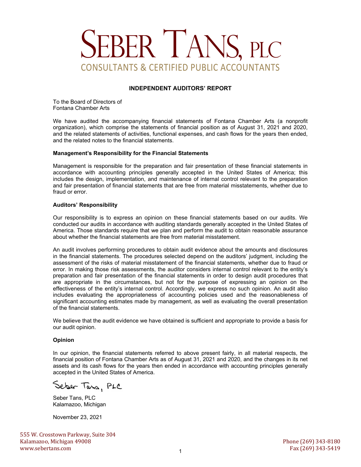# SEBER TANS, PLC CONSULTANTS & CERTIFIED PUBLIC ACCOUNTANTS

## **INDEPENDENT AUDITORS' REPORT**

To the Board of Directors of Fontana Chamber Arts

We have audited the accompanying financial statements of Fontana Chamber Arts (a nonprofit organization), which comprise the statements of financial position as of August 31, 2021 and 2020, and the related statements of activities, functional expenses, and cash flows for the years then ended, and the related notes to the financial statements.

#### **Management's Responsibility for the Financial Statements**

Management is responsible for the preparation and fair presentation of these financial statements in accordance with accounting principles generally accepted in the United States of America; this includes the design, implementation, and maintenance of internal control relevant to the preparation and fair presentation of financial statements that are free from material misstatements, whether due to fraud or error.

#### **Auditors' Responsibility**

Our responsibility is to express an opinion on these financial statements based on our audits. We conducted our audits in accordance with auditing standards generally accepted in the United States of America. Those standards require that we plan and perform the audit to obtain reasonable assurance about whether the financial statements are free from material misstatement.

An audit involves performing procedures to obtain audit evidence about the amounts and disclosures in the financial statements. The procedures selected depend on the auditors' judgment, including the assessment of the risks of material misstatement of the financial statements, whether due to fraud or error. In making those risk assessments, the auditor considers internal control relevant to the entity's preparation and fair presentation of the financial statements in order to design audit procedures that are appropriate in the circumstances, but not for the purpose of expressing an opinion on the effectiveness of the entity's internal control. Accordingly, we express no such opinion. An audit also includes evaluating the appropriateness of accounting policies used and the reasonableness of significant accounting estimates made by management, as well as evaluating the overall presentation of the financial statements.

We believe that the audit evidence we have obtained is sufficient and appropriate to provide a basis for our audit opinion.

## **Opinion**

In our opinion, the financial statements referred to above present fairly, in all material respects, the financial position of Fontana Chamber Arts as of August 31, 2021 and 2020, and the changes in its net assets and its cash flows for the years then ended in accordance with accounting principles generally accepted in the United States of America.

Seber Tans, PLC

Seber Tans, PLC Kalamazoo, Michigan

November 23, 2021

555 W. Crosstown Parkway, Suite 304 Kalamazoo, Michigan 49008 Phone (269) 343-8180 www.sebertans.com Fax (269) 343-5419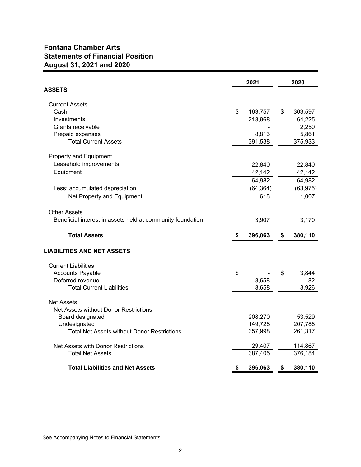# **Fontana Chamber Arts Statements of Financial Position August 31, 2021 and 2020**

|                                                            | 2021          | 2020          |
|------------------------------------------------------------|---------------|---------------|
| ASSETS                                                     |               |               |
| <b>Current Assets</b>                                      |               |               |
| Cash                                                       | \$<br>163,757 | \$<br>303,597 |
| Investments                                                | 218,968       | 64,225        |
| Grants receivable                                          |               | 2,250         |
| Prepaid expenses                                           | 8,813         | 5,861         |
| <b>Total Current Assets</b>                                | 391,538       | 375,933       |
| Property and Equipment                                     |               |               |
| Leasehold improvements                                     | 22,840        | 22,840        |
| Equipment                                                  | 42,142        | 42,142        |
|                                                            | 64,982        | 64,982        |
| Less: accumulated depreciation                             | (64, 364)     | (63, 975)     |
| Net Property and Equipment                                 | 618           | 1,007         |
|                                                            |               |               |
| <b>Other Assets</b>                                        |               |               |
| Beneficial interest in assets held at community foundation | 3,907         | 3,170         |
| <b>Total Assets</b>                                        | \$<br>396,063 | \$<br>380,110 |
| <b>LIABILITIES AND NET ASSETS</b>                          |               |               |
| <b>Current Liabilities</b>                                 |               |               |
| <b>Accounts Payable</b>                                    | \$            | \$<br>3,844   |
| Deferred revenue                                           | 8,658         | 82            |
| <b>Total Current Liabilities</b>                           | 8,658         | 3,926         |
| <b>Net Assets</b>                                          |               |               |
| Net Assets without Donor Restrictions                      |               |               |
| Board designated                                           | 208,270       | 53,529        |
| Undesignated                                               | 149,728       | 207,788       |
| <b>Total Net Assets without Donor Restrictions</b>         | 357,998       | 261,317       |
| Net Assets with Donor Restrictions                         | 29,407        | 114,867       |
| <b>Total Net Assets</b>                                    | 387,405       | 376,184       |
| <b>Total Liabilities and Net Assets</b>                    | \$<br>396,063 | \$<br>380,110 |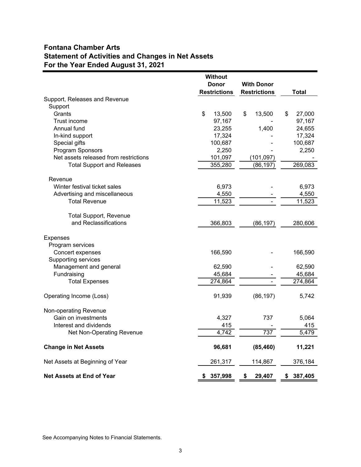# **Fontana Chamber Arts Statement of Activities and Changes in Net Assets For the Year Ended August 31, 2021**

|                                       | <b>Without</b>      |                     |               |
|---------------------------------------|---------------------|---------------------|---------------|
|                                       | <b>Donor</b>        | With Donor          |               |
|                                       | <b>Restrictions</b> | <b>Restrictions</b> | <b>Total</b>  |
| Support, Releases and Revenue         |                     |                     |               |
| Support                               |                     |                     |               |
| Grants                                | \$<br>13,500        | \$<br>13,500        | \$<br>27,000  |
| Trust income                          | 97,167              |                     | 97,167        |
| Annual fund                           | 23,255              | 1,400               | 24,655        |
| In-kind support                       | 17,324              |                     | 17,324        |
| Special gifts                         | 100,687             |                     | 100,687       |
| Program Sponsors                      | 2,250               |                     | 2,250         |
| Net assets released from restrictions | 101,097             | (101, 097)          |               |
| <b>Total Support and Releases</b>     | 355,280             | (86, 197)           | 269,083       |
|                                       |                     |                     |               |
| Revenue                               |                     |                     |               |
| Winter festival ticket sales          | 6,973               |                     | 6,973         |
| Advertising and miscellaneous         | 4,550               |                     | 4,550         |
| <b>Total Revenue</b>                  | 11,523              |                     | 11,523        |
|                                       |                     |                     |               |
| <b>Total Support, Revenue</b>         |                     |                     |               |
| and Reclassifications                 | 366,803             | (86, 197)           | 280,606       |
| <b>Expenses</b>                       |                     |                     |               |
| Program services                      |                     |                     |               |
| Concert expenses                      | 166,590             |                     | 166,590       |
| Supporting services                   |                     |                     |               |
| Management and general                | 62,590              |                     | 62,590        |
| Fundraising                           | 45,684              |                     | 45,684        |
| <b>Total Expenses</b>                 | 274,864             |                     | 274,864       |
|                                       |                     |                     |               |
| Operating Income (Loss)               | 91,939              | (86, 197)           | 5,742         |
|                                       |                     |                     |               |
| Non-operating Revenue                 |                     |                     |               |
| Gain on investments                   | 4,327               | 737                 | 5,064         |
| Interest and dividends                | 415                 |                     | 415           |
| Net Non-Operating Revenue             | 4,742               | $\overline{737}$    | 5,479         |
|                                       |                     |                     |               |
| <b>Change in Net Assets</b>           | 96,681              | (85, 460)           | 11,221        |
| Net Assets at Beginning of Year       | 261,317             | 114,867             | 376,184       |
| <b>Net Assets at End of Year</b>      | 357,998<br>S        | \$<br>29,407        | 387,405<br>\$ |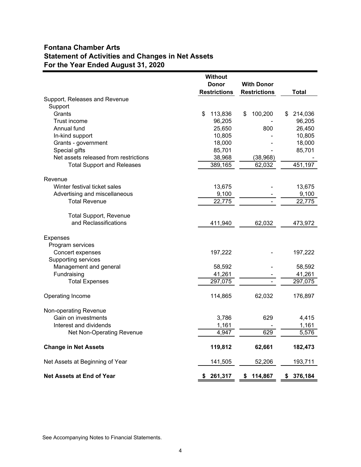# **Fontana Chamber Arts Statement of Activities and Changes in Net Assets For the Year Ended August 31, 2020**

|                                       | <b>Without</b>      |                     |               |
|---------------------------------------|---------------------|---------------------|---------------|
|                                       | Donor               | <b>With Donor</b>   |               |
|                                       | <b>Restrictions</b> | <b>Restrictions</b> | <b>Total</b>  |
| Support, Releases and Revenue         |                     |                     |               |
| Support                               |                     |                     |               |
| Grants                                | \$<br>113,836       | 100,200<br>\$       | \$<br>214,036 |
| Trust income                          | 96,205              |                     | 96,205        |
| Annual fund                           | 25,650              | 800                 | 26,450        |
| In-kind support                       | 10,805              |                     | 10,805        |
| Grants - government                   | 18,000              |                     | 18,000        |
| Special gifts                         | 85,701              |                     | 85,701        |
| Net assets released from restrictions | 38,968              | (38, 968)           |               |
| <b>Total Support and Releases</b>     | 389,165             | 62,032              | 451,197       |
|                                       |                     |                     |               |
| Revenue                               |                     |                     |               |
| Winter festival ticket sales          | 13,675              |                     | 13,675        |
| Advertising and miscellaneous         | 9,100               |                     | 9,100         |
| <b>Total Revenue</b>                  | 22,775              |                     | 22,775        |
|                                       |                     |                     |               |
| <b>Total Support, Revenue</b>         |                     |                     |               |
| and Reclassifications                 | 411,940             | 62,032              | 473,972       |
|                                       |                     |                     |               |
| <b>Expenses</b>                       |                     |                     |               |
| Program services<br>Concert expenses  | 197,222             |                     | 197,222       |
| Supporting services                   |                     |                     |               |
| Management and general                | 58,592              |                     | 58,592        |
| Fundraising                           | 41,261              |                     | 41,261        |
| <b>Total Expenses</b>                 | 297,075             |                     | 297,075       |
|                                       |                     |                     |               |
| Operating Income                      | 114,865             | 62,032              | 176,897       |
|                                       |                     |                     |               |
| Non-operating Revenue                 |                     |                     |               |
| Gain on investments                   | 3,786               | 629                 | 4,415         |
| Interest and dividends                | 1,161               |                     | 1,161         |
| Net Non-Operating Revenue             | 4,947               | 629                 | 5,576         |
|                                       |                     |                     |               |
| <b>Change in Net Assets</b>           | 119,812             | 62,661              | 182,473       |
|                                       |                     |                     |               |
| Net Assets at Beginning of Year       | 141,505             | 52,206              | 193,711       |
|                                       |                     |                     |               |
| <b>Net Assets at End of Year</b>      | 261,317<br>\$       | \$<br>114,867       | 376,184<br>\$ |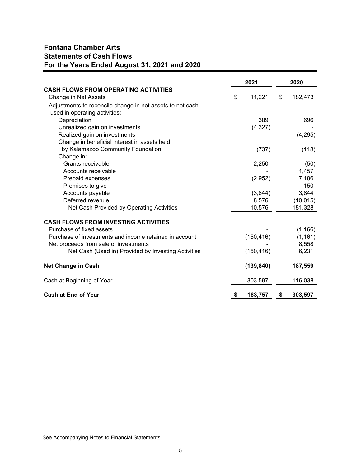# **Fontana Chamber Arts Statements of Cash Flows For the Years Ended August 31, 2021 and 2020**

|                                                           | 2021 |            | 2020          |
|-----------------------------------------------------------|------|------------|---------------|
| <b>CASH FLOWS FROM OPERATING ACTIVITIES</b>               |      |            |               |
| Change in Net Assets                                      | \$   | 11,221     | \$<br>182,473 |
| Adjustments to reconcile change in net assets to net cash |      |            |               |
| used in operating activities:                             |      |            |               |
| Depreciation                                              |      | 389        | 696           |
| Unrealized gain on investments                            |      | (4,327)    |               |
| Realized gain on investments                              |      |            | (4,295)       |
| Change in beneficial interest in assets held              |      |            |               |
| by Kalamazoo Community Foundation                         |      | (737)      | (118)         |
| Change in:                                                |      |            |               |
| Grants receivable                                         |      | 2,250      | (50)          |
| Accounts receivable                                       |      |            | 1,457         |
| Prepaid expenses                                          |      | (2,952)    | 7,186         |
| Promises to give                                          |      |            | 150           |
| Accounts payable                                          |      | (3,844)    | 3,844         |
| Deferred revenue                                          |      | 8,576      | (10, 015)     |
| Net Cash Provided by Operating Activities                 |      | 10,576     | 181,328       |
| <b>CASH FLOWS FROM INVESTING ACTIVITIES</b>               |      |            |               |
| Purchase of fixed assets                                  |      |            | (1, 166)      |
| Purchase of investments and income retained in account    |      | (150, 416) | (1, 161)      |
| Net proceeds from sale of investments                     |      |            | 8,558         |
| Net Cash (Used in) Provided by Investing Activities       |      | (150, 416) | 6,231         |
|                                                           |      |            |               |
| <b>Net Change in Cash</b>                                 |      | (139, 840) | 187,559       |
| Cash at Beginning of Year                                 |      | 303,597    | 116,038       |
| <b>Cash at End of Year</b>                                | \$   | 163,757    | 303,597       |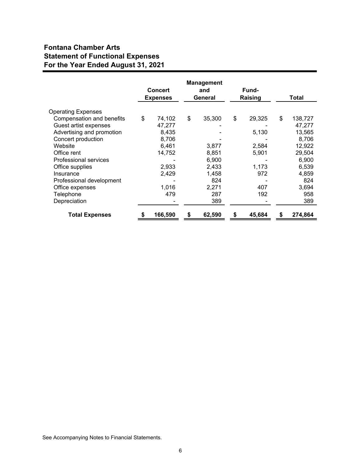# **Fontana Chamber Arts Statement of Functional Expenses For the Year Ended August 31, 2021**

|                           |    | <b>Concert</b><br><b>Expenses</b> |    | <b>Management</b><br>and<br>General | <b>Fund-</b><br>Raising |    | Total   |
|---------------------------|----|-----------------------------------|----|-------------------------------------|-------------------------|----|---------|
| <b>Operating Expenses</b> |    |                                   |    |                                     |                         |    |         |
| Compensation and benefits | \$ | 74,102                            | \$ | 35,300                              | \$<br>29,325            | \$ | 138,727 |
| Guest artist expenses     |    | 47,277                            |    |                                     |                         |    | 47,277  |
| Advertising and promotion |    | 8,435                             |    |                                     | 5,130                   |    | 13,565  |
| Concert production        |    | 8,706                             |    |                                     |                         |    | 8,706   |
| Website                   |    | 6,461                             |    | 3,877                               | 2,584                   |    | 12,922  |
| Office rent               |    | 14,752                            |    | 8,851                               | 5,901                   |    | 29,504  |
| Professional services     |    |                                   |    | 6,900                               |                         |    | 6,900   |
| Office supplies           |    | 2,933                             |    | 2,433                               | 1,173                   |    | 6,539   |
| Insurance                 |    | 2,429                             |    | 1,458                               | 972                     |    | 4,859   |
| Professional development  |    |                                   |    | 824                                 |                         |    | 824     |
| Office expenses           |    | 1,016                             |    | 2,271                               | 407                     |    | 3,694   |
| Telephone                 |    | 479                               |    | 287                                 | 192                     |    | 958     |
| Depreciation              |    |                                   |    | 389                                 |                         |    | 389     |
| <b>Total Expenses</b>     | 5  | 166,590                           | \$ | 62,590                              | \$<br>45,684            | S  | 274.864 |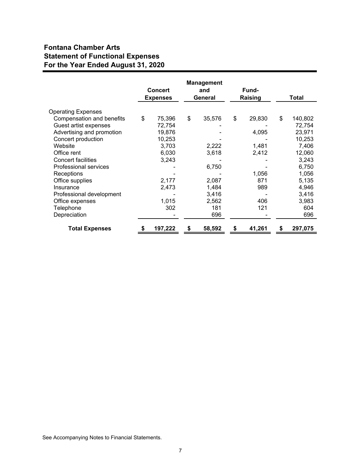# **Fontana Chamber Arts Statement of Functional Expenses For the Year Ended August 31, 2020**

|                           | <b>Concert</b><br><b>Expenses</b> |         | <b>Management</b><br>and<br>General | Fund-<br>Raising |        |    | Total   |
|---------------------------|-----------------------------------|---------|-------------------------------------|------------------|--------|----|---------|
| <b>Operating Expenses</b> |                                   |         |                                     |                  |        |    |         |
| Compensation and benefits | \$                                | 75,396  | \$<br>35,576                        | \$               | 29,830 | \$ | 140,802 |
| Guest artist expenses     |                                   | 72,754  |                                     |                  |        |    | 72,754  |
| Advertising and promotion |                                   | 19,876  |                                     |                  | 4,095  |    | 23,971  |
| Concert production        |                                   | 10,253  |                                     |                  |        |    | 10,253  |
| Website                   |                                   | 3,703   | 2,222                               |                  | 1,481  |    | 7,406   |
| Office rent               |                                   | 6,030   | 3,618                               |                  | 2,412  |    | 12,060  |
| <b>Concert facilities</b> |                                   | 3,243   |                                     |                  |        |    | 3,243   |
| Professional services     |                                   |         | 6,750                               |                  |        |    | 6,750   |
| Receptions                |                                   |         |                                     |                  | 1,056  |    | 1,056   |
| Office supplies           |                                   | 2,177   | 2,087                               |                  | 871    |    | 5,135   |
| Insurance                 |                                   | 2,473   | 1,484                               |                  | 989    |    | 4,946   |
| Professional development  |                                   |         | 3,416                               |                  |        |    | 3,416   |
| Office expenses           |                                   | 1,015   | 2,562                               |                  | 406    |    | 3,983   |
| Telephone                 |                                   | 302     | 181                                 |                  | 121    |    | 604     |
| Depreciation              |                                   |         | 696                                 |                  |        |    | 696     |
| <b>Total Expenses</b>     | \$                                | 197,222 | \$<br>58,592                        | \$               | 41,261 | S  | 297,075 |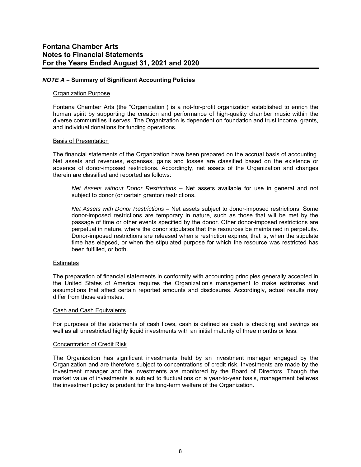## *NOTE A –* **Summary of Significant Accounting Policies**

#### Organization Purpose

Fontana Chamber Arts (the "Organization") is a not-for-profit organization established to enrich the human spirit by supporting the creation and performance of high-quality chamber music within the diverse communities it serves. The Organization is dependent on foundation and trust income, grants, and individual donations for funding operations.

#### Basis of Presentation

The financial statements of the Organization have been prepared on the accrual basis of accounting. Net assets and revenues, expenses, gains and losses are classified based on the existence or absence of donor-imposed restrictions. Accordingly, net assets of the Organization and changes therein are classified and reported as follows:

*Net Assets without Donor Restrictions* – Net assets available for use in general and not subject to donor (or certain grantor) restrictions.

*Net Assets with Donor Restrictions –* Net assets subject to donor-imposed restrictions. Some donor-imposed restrictions are temporary in nature, such as those that will be met by the passage of time or other events specified by the donor. Other donor-imposed restrictions are perpetual in nature, where the donor stipulates that the resources be maintained in perpetuity. Donor-imposed restrictions are released when a restriction expires, that is, when the stipulate time has elapsed, or when the stipulated purpose for which the resource was restricted has been fulfilled, or both.

## **Estimates**

The preparation of financial statements in conformity with accounting principles generally accepted in the United States of America requires the Organization's management to make estimates and assumptions that affect certain reported amounts and disclosures. Accordingly, actual results may differ from those estimates.

#### **Cash and Cash Equivalents**

For purposes of the statements of cash flows, cash is defined as cash is checking and savings as well as all unrestricted highly liquid investments with an initial maturity of three months or less.

#### Concentration of Credit Risk

The Organization has significant investments held by an investment manager engaged by the Organization and are therefore subject to concentrations of credit risk. Investments are made by the investment manager and the investments are monitored by the Board of Directors. Though the market value of investments is subject to fluctuations on a year-to-year basis, management believes the investment policy is prudent for the long-term welfare of the Organization.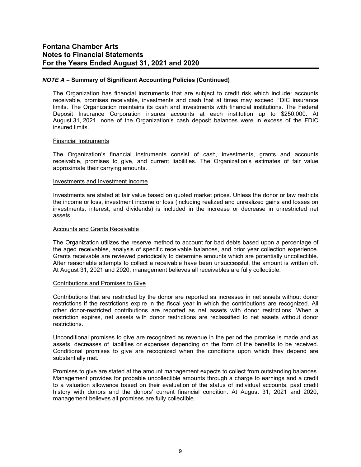## *NOTE A –* **Summary of Significant Accounting Policies (Continued)**

The Organization has financial instruments that are subject to credit risk which include: accounts receivable, promises receivable, investments and cash that at times may exceed FDIC insurance limits. The Organization maintains its cash and investments with financial institutions. The Federal Deposit Insurance Corporation insures accounts at each institution up to \$250,000. At August 31, 2021, none of the Organization's cash deposit balances were in excess of the FDIC insured limits.

#### Financial Instruments

The Organization's financial instruments consist of cash, investments, grants and accounts receivable, promises to give, and current liabilities. The Organization's estimates of fair value approximate their carrying amounts.

## Investments and Investment Income

Investments are stated at fair value based on quoted market prices. Unless the donor or law restricts the income or loss, investment income or loss (including realized and unrealized gains and losses on investments, interest, and dividends) is included in the increase or decrease in unrestricted net assets.

#### Accounts and Grants Receivable

The Organization utilizes the reserve method to account for bad debts based upon a percentage of the aged receivables, analysis of specific receivable balances, and prior year collection experience. Grants receivable are reviewed periodically to determine amounts which are potentially uncollectible. After reasonable attempts to collect a receivable have been unsuccessful, the amount is written off. At August 31, 2021 and 2020, management believes all receivables are fully collectible.

#### Contributions and Promises to Give

Contributions that are restricted by the donor are reported as increases in net assets without donor restrictions if the restrictions expire in the fiscal year in which the contributions are recognized. All other donor-restricted contributions are reported as net assets with donor restrictions. When a restriction expires, net assets with donor restrictions are reclassified to net assets without donor restrictions.

Unconditional promises to give are recognized as revenue in the period the promise is made and as assets, decreases of liabilities or expenses depending on the form of the benefits to be received. Conditional promises to give are recognized when the conditions upon which they depend are substantially met.

Promises to give are stated at the amount management expects to collect from outstanding balances. Management provides for probable uncollectible amounts through a charge to earnings and a credit to a valuation allowance based on their evaluation of the status of individual accounts, past credit history with donors and the donors' current financial condition. At August 31, 2021 and 2020, management believes all promises are fully collectible.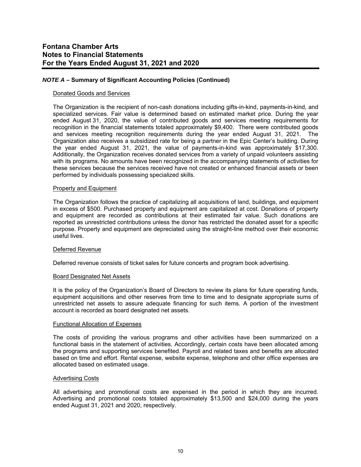# *NOTE A –* **Summary of Significant Accounting Policies (Continued)**

#### Donated Goods and Services

The Organization is the recipient of non-cash donations including gifts-in-kind, payments-in-kind, and specialized services. Fair value is determined based on estimated market price. During the year ended August 31, 2020, the value of contributed goods and services meeting requirements for recognition in the financial statements totaled approximately \$9,400. There were contributed goods and services meeting recognition requirements during the year ended August 31, 2021. The Organization also receives a subsidized rate for being a partner in the Epic Center's building. During the year ended August 31, 2021, the value of payments-in-kind was approximately \$17,300. Additionally, the Organization receives donated services from a variety of unpaid volunteers assisting with its programs. No amounts have been recognized in the accompanying statements of activities for these services because the services received have not created or enhanced financial assets or been performed by individuals possessing specialized skills.

#### Property and Equipment

The Organization follows the practice of capitalizing all acquisitions of land, buildings, and equipment in excess of \$500. Purchased property and equipment are capitalized at cost. Donations of property and equipment are recorded as contributions at their estimated fair value. Such donations are reported as unrestricted contributions unless the donor has restricted the donated asset for a specific purpose. Property and equipment are depreciated using the straight-line method over their economic useful lives.

## Deferred Revenue

Deferred revenue consists of ticket sales for future concerts and program book advertising.

#### Board Designated Net Assets

It is the policy of the Organization's Board of Directors to review its plans for future operating funds, equipment acquisitions and other reserves from time to time and to designate appropriate sums of unrestricted net assets to assure adequate financing for such items. A portion of the investment account is recorded as board designated net assets.

#### Functional Allocation of Expenses

The costs of providing the various programs and other activities have been summarized on a functional basis in the statement of activities. Accordingly, certain costs have been allocated among the programs and supporting services benefited. Payroll and related taxes and benefits are allocated based on time and effort. Rental expense, website expense, telephone and other office expenses are allocated based on estimated usage.

## Advertising Costs

All advertising and promotional costs are expensed in the period in which they are incurred. Advertising and promotional costs totaled approximately \$13,500 and \$24,000 during the years ended August 31, 2021 and 2020, respectively.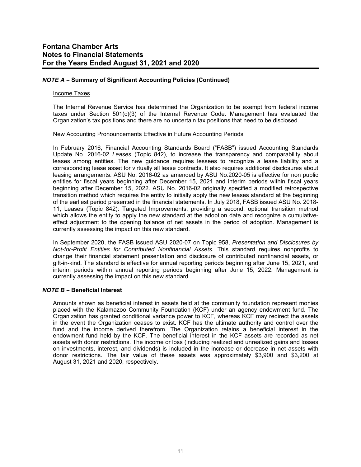# *NOTE A –* **Summary of Significant Accounting Policies (Continued)**

#### Income Taxes

The Internal Revenue Service has determined the Organization to be exempt from federal income taxes under Section 501(c)(3) of the Internal Revenue Code. Management has evaluated the Organization's tax positions and there are no uncertain tax positions that need to be disclosed.

#### New Accounting Pronouncements Effective in Future Accounting Periods

In February 2016, Financial Accounting Standards Board ("FASB") issued Accounting Standards Update No. 2016-02 *Leases* (Topic 842), to increase the transparency and comparability about leases among entities. The new guidance requires lessees to recognize a lease liability and a corresponding lease asset for virtually all lease contracts. It also requires additional disclosures about leasing arrangements. ASU No. 2016-02 as amended by ASU No.2020-05 is effective for non public entities for fiscal years beginning after December 15, 2021 and interim periods within fiscal years beginning after December 15, 2022. ASU No. 2016-02 originally specified a modified retrospective transition method which requires the entity to initially apply the new leases standard at the beginning of the earliest period presented in the financial statements. In July 2018, FASB issued ASU No. 2018- 11, Leases (Topic 842): Targeted Improvements, providing a second, optional transition method which allows the entity to apply the new standard at the adoption date and recognize a cumulativeeffect adjustment to the opening balance of net assets in the period of adoption. Management is currently assessing the impact on this new standard.

In September 2020, the FASB issued ASU 2020-07 on Topic 958, *Presentation and Disclosures by Not-for-Profit Entities for Contributed Nonfinancial Assets*. This standard requires nonprofits to change their financial statement presentation and disclosure of contributed nonfinancial assets, or gift-in-kind. The standard is effective for annual reporting periods beginning after June 15, 2021, and interim periods within annual reporting periods beginning after June 15, 2022. Management is currently assessing the impact on this new standard.

## *NOTE B –* **Beneficial Interest**

Amounts shown as beneficial interest in assets held at the community foundation represent monies placed with the Kalamazoo Community Foundation (KCF) under an agency endowment fund. The Organization has granted conditional variance power to KCF, whereas KCF may redirect the assets in the event the Organization ceases to exist. KCF has the ultimate authority and control over the fund and the income derived therefrom. The Organization retains a beneficial interest in the endowment fund held by the KCF. The beneficial interest in the KCF assets are recorded as net assets with donor restrictions. The income or loss (including realized and unrealized gains and losses on investments, interest, and dividends) is included in the increase or decrease in net assets with donor restrictions. The fair value of these assets was approximately \$3,900 and \$3,200 at August 31, 2021 and 2020, respectively.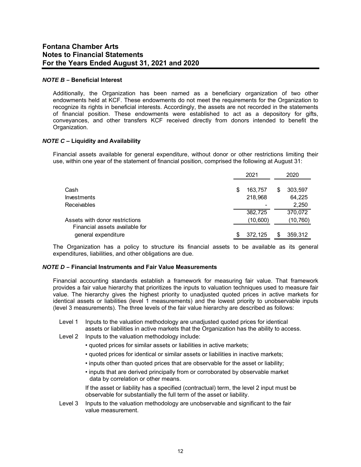## *NOTE B –* **Beneficial Interest**

Additionally, the Organization has been named as a beneficiary organization of two other endowments held at KCF. These endowments do not meet the requirements for the Organization to recognize its rights in beneficial interests. Accordingly, the assets are not recorded in the statements of financial position. These endowments were established to act as a depository for gifts, conveyances, and other transfers KCF received directly from donors intended to benefit the Organization.

## *NOTE C* **– Liquidity and Availability**

Financial assets available for general expenditure, without donor or other restrictions limiting their use, within one year of the statement of financial position, comprised the following at August 31:

|                                                       |    | 2021     |    | 2020      |
|-------------------------------------------------------|----|----------|----|-----------|
| Cash                                                  | \$ | 163,757  | \$ | 303,597   |
| Investments                                           |    | 218,968  |    | 64,225    |
| Receivables                                           |    |          |    | 2,250     |
|                                                       |    | 382,725  |    | 370,072   |
| Assets with donor restrictions                        |    | (10,600) |    | (10, 760) |
| Financial assets available for<br>general expenditure | S  | 372.125  | S  | 359,312   |

The Organization has a policy to structure its financial assets to be available as its general expenditures, liabilities, and other obligations are due.

## *NOTE D –* **Financial Instruments and Fair Value Measurements**

Financial accounting standards establish a framework for measuring fair value. That framework provides a fair value hierarchy that prioritizes the inputs to valuation techniques used to measure fair value. The hierarchy gives the highest priority to unadjusted quoted prices in active markets for identical assets or liabilities (level 1 measurements) and the lowest priority to unobservable inputs (level 3 measurements). The three levels of the fair value hierarchy are described as follows:

- Level 1 Inputs to the valuation methodology are unadjusted quoted prices for identical assets or liabilities in active markets that the Organization has the ability to access.
- Level 2 Inputs to the valuation methodology include:
	- quoted prices for similar assets or liabilities in active markets;
	- quoted prices for identical or similar assets or liabilities in inactive markets;
	- inputs other than quoted prices that are observable for the asset or liability;
	- inputs that are derived principally from or corroborated by observable market data by correlation or other means.

 If the asset or liability has a specified (contractual) term, the level 2 input must be observable for substantially the full term of the asset or liability.

Level 3 Inputs to the valuation methodology are unobservable and significant to the fair value measurement.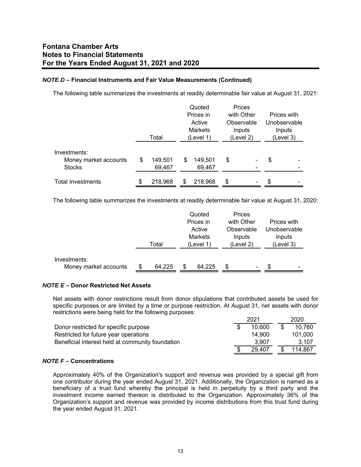# *NOTE D –* **Financial Instruments and Fair Value Measurements (Continued)**

The following table summarizes the investments at readily determinable fair value at August 31, 2021:

|                          |               |                | Quoted    | Prices     |                          |             |              |
|--------------------------|---------------|----------------|-----------|------------|--------------------------|-------------|--------------|
|                          |               |                | Prices in | with Other |                          | Prices with |              |
|                          |               |                | Active    |            | Observable               |             | Unobservable |
|                          |               | <b>Markets</b> |           |            | Inputs                   |             | Inputs       |
|                          | Total         |                | (Level 1) |            | (Level 2)                |             | (Level 3)    |
| Investments:             |               |                |           |            |                          |             |              |
| Money market accounts    | \$<br>149,501 | S              | 149,501   | \$         | -                        | \$          |              |
| <b>Stocks</b>            | 69,467        |                | 69,467    |            | -                        |             |              |
| <b>Total Investments</b> | \$<br>218,968 | S              | 218,968   | \$         | $\overline{\phantom{a}}$ | \$          |              |

The following table summarizes the investments at readily determinable fair value at August 31, 2020:

|                       |       |        |  | Quoted         | Prices     |   |           |              |
|-----------------------|-------|--------|--|----------------|------------|---|-----------|--------------|
|                       |       |        |  | Prices in      | with Other |   |           | Prices with  |
|                       |       |        |  | Active         | Observable |   |           | Unobservable |
|                       |       |        |  | <b>Markets</b> | Inputs     |   |           | Inputs       |
|                       | Total |        |  | (Level 1)      | (Level 2)  |   | (Level 3) |              |
|                       |       |        |  |                |            |   |           |              |
| Investments:          |       |        |  |                |            |   |           |              |
| Money market accounts |       | 64.225 |  | 64,225         | S          | ۰ | S         | -            |

# *NOTE E –* **Donor Restricted Net Assets**

Net assets with donor restrictions result from donor stipulations that contributed assets be used for specific purposes or are limited by a time or purpose restriction. At August 31, net assets with donor restrictions were being held for the following purposes:

|                                                  | 2021         |  | 2020    |  |
|--------------------------------------------------|--------------|--|---------|--|
| Donor restricted for specific purpose            | 10.600       |  | 10.760  |  |
| Restricted for future year operations            | 14.900       |  | 101.000 |  |
| Beneficial interest held at community foundation | 3.907        |  | 3.107   |  |
|                                                  | \$<br>29.407 |  | 114.867 |  |

# *NOTE F –* **Concentrations**

Approximately 40% of the Organization's support and revenue was provided by a special gift from one contributor during the year ended August 31, 2021. Additionally, the Organization is named as a beneficiary of a trust fund whereby the principal is held in perpetuity by a third party and the investment income earned thereon is distributed to the Organization. Approximately 36% of the Organization's support and revenue was provided by income distributions from this trust fund during the year ended August 31, 2021.